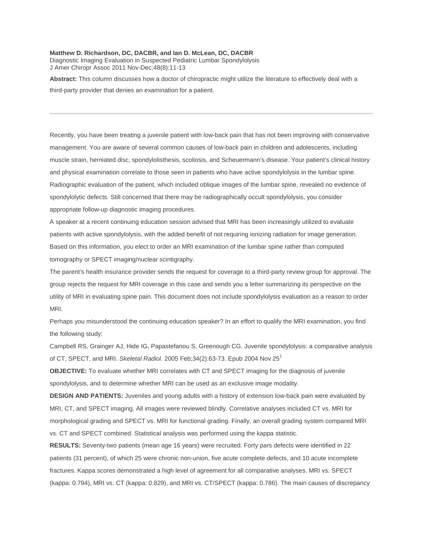## **Matthew D. Richardson, DC, DACBR, and Ian D. McLean, DC, DACBR**

Diagnostic Imaging Evaluation in Suspected Pediatric Lumbar Spondylolysis J Amer Chiropr Assoc 2011 Nov-Dec;48(8):11-13

**Abstract:** This column discusses how a doctor of chiropractic might utilize the literature to effectively deal with a third-party provider that denies an examination for a patient.

Recently, you have been treating a juvenile patient with low-back pain that has not been improving with conservative management. You are aware of several common causes of low-back pain in children and adolescents, including muscle strain, herniated disc, spondylolisthesis, scoliosis, and Scheuermann's disease. Your patient's clinical history and physical examination correlate to those seen in patients who have active spondylolysis in the lumbar spine. Radiographic evaluation of the patient, which included oblique images of the lumbar spine, revealed no evidence of spondylolytic defects. Still concerned that there may be radiographically occult spondylolysis, you consider appropriate follow-up diagnostic imaging procedures.

A speaker at a recent continuing education session advised that MRI has been increasingly utilized to evaluate patients with active spondylolysis, with the added benefit of not requiring ionizing radiation for image generation. Based on this information, you elect to order an MRI examination of the lumbar spine rather than computed tomography or SPECT imaging/nuclear scintigraphy.

The parent's health insurance provider sends the request for coverage to a third-party review group for approval. The group rejects the request for MRI coverage in this case and sends you a letter summarizing its perspective on the utility of MRI in evaluating spine pain. This document does not include spondylolysis evaluation as a reason to order MRI.

Perhaps you misunderstood the continuing education speaker? In an effort to qualify the MRI examination, you find the following study:

Campbell RS, Grainger AJ, Hide IG, Papastefanou S, Greenough CG. Juvenile spondylolysis: a comparative analysis of CT, SPECT, and MRI. *Skeletal Radiol.* 2005 Feb;34(2):63-73. Epub 2004 Nov 25<sup>1</sup>

**OBJECTIVE:** To evaluate whether MRI correlates with CT and SPECT imaging for the diagnosis of juvenile spondylolysis, and to determine whether MRI can be used as an exclusive image modality.

**DESIGN AND PATIENTS:** Juveniles and young adults with a history of extension low-back pain were evaluated by MRI, CT, and SPECT imaging. All images were reviewed blindly. Correlative analyses included CT vs. MRI for morphological grading and SPECT vs. MRI for functional grading. Finally, an overall grading system compared MRI vs. CT and SPECT combined. Statistical analysis was performed using the kappa statistic.

**RESULTS:** Seventy-two patients (mean age 16 years) were recruited. Forty pars defects were identified in 22 patients (31 percent), of which 25 were chronic non-union, five acute complete defects, and 10 acute incomplete fractures. Kappa scores demonstrated a high level of agreement for all comparative analyses. MRI vs. SPECT (kappa: 0.794), MRI vs. CT (kappa: 0.829), and MRI vs. CT/SPECT (kappa: 0.786). The main causes of discrepancy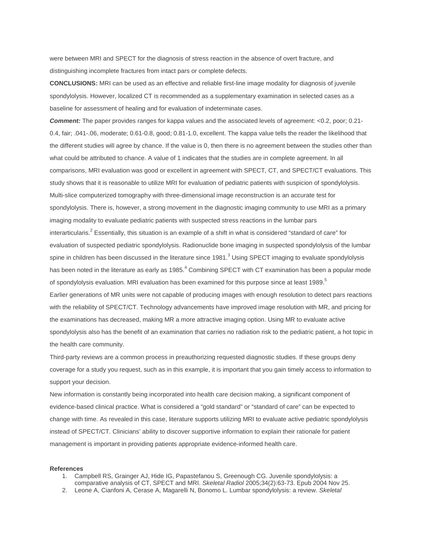were between MRI and SPECT for the diagnosis of stress reaction in the absence of overt fracture, and distinguishing incomplete fractures from intact pars or complete defects.

**CONCLUSIONS:** MRI can be used as an effective and reliable first-line image modality for diagnosis of juvenile spondylolysis. However, localized CT is recommended as a supplementary examination in selected cases as a baseline for assessment of healing and for evaluation of indeterminate cases.

**Comment:** The paper provides ranges for kappa values and the associated levels of agreement: <0.2, poor; 0.21-0.4, fair; .041-.06, moderate; 0.61-0.8, good; 0.81-1.0, excellent. The kappa value tells the reader the likelihood that the different studies will agree by chance. If the value is 0, then there is no agreement between the studies other than what could be attributed to chance. A value of 1 indicates that the studies are in complete agreement. In all comparisons, MRI evaluation was good or excellent in agreement with SPECT, CT, and SPECT/CT evaluations. This study shows that it is reasonable to utilize MRI for evaluation of pediatric patients with suspicion of spondylolysis. Multi-slice computerized tomography with three-dimensional image reconstruction is an accurate test for spondylolysis. There is, however, a strong movement in the diagnostic imaging community to use MRI as a primary imaging modality to evaluate pediatric patients with suspected stress reactions in the lumbar pars interarticularis.2 Essentially, this situation is an example of a shift in what is considered "standard of care" for evaluation of suspected pediatric spondylolysis. Radionuclide bone imaging in suspected spondylolysis of the lumbar spine in children has been discussed in the literature since  $1981$ .<sup>3</sup> Using SPECT imaging to evaluate spondylolysis has been noted in the literature as early as 1985.<sup>4</sup> Combining SPECT with CT examination has been a popular mode of spondylolysis evaluation. MRI evaluation has been examined for this purpose since at least 1989.<sup>5</sup> Earlier generations of MR units were not capable of producing images with enough resolution to detect pars reactions with the reliability of SPECT/CT. Technology advancements have improved image resolution with MR, and pricing for the examinations has decreased, making MR a more attractive imaging option. Using MR to evaluate active spondylolysis also has the benefit of an examination that carries no radiation risk to the pediatric patient, a hot topic in the health care community.

Third-party reviews are a common process in preauthorizing requested diagnostic studies. If these groups deny coverage for a study you request, such as in this example, it is important that you gain timely access to information to support your decision.

New information is constantly being incorporated into health care decision making, a significant component of evidence-based clinical practice. What is considered a "gold standard" or "standard of care" can be expected to change with time. As revealed in this case, literature supports utilizing MRI to evaluate active pediatric spondylolysis instead of SPECT/CT. Clinicians' ability to discover supportive information to explain their rationale for patient management is important in providing patients appropriate evidence-informed health care.

## **References**

- 1. Campbell RS, Grainger AJ, Hide IG, Papastefanou S, Greenough CG. Juvenile spondylolysis: a comparative analysis of CT, SPECT and MRI. *Skeletal Radiol* 2005;34(2):63-73. Epub 2004 Nov 25.
- 2. Leone A, Cianfoni A, Cerase A, Magarelli N, Bonomo L. Lumbar spondylolysis: a review. *Skeletal*